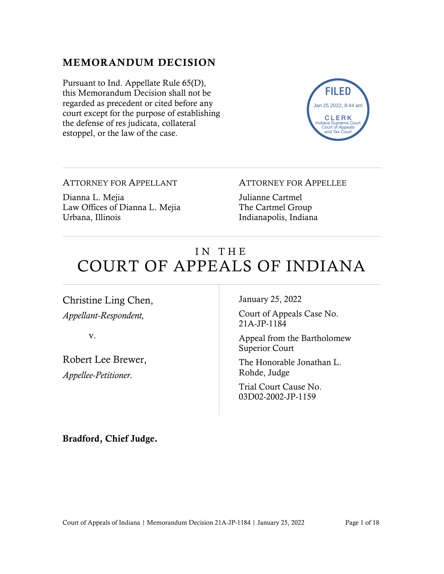#### MEMORANDUM DECISION

Pursuant to Ind. Appellate Rule 65(D), this Memorandum Decision shall not be regarded as precedent or cited before any court except for the purpose of establishing the defense of res judicata, collateral estoppel, or the law of the case.



ATTORNEY FOR APPELLANT

Dianna L. Mejia Law Offices of Dianna L. Mejia Urbana, Illinois

ATTORNEY FOR APPELLEE

Julianne Cartmel The Cartmel Group Indianapolis, Indiana

# IN THE COURT OF APPEALS OF INDIANA

Christine Ling Chen, *Appellant-Respondent,*

v.

Robert Lee Brewer,

*Appellee-Petitioner.*

January 25, 2022

Court of Appeals Case No. 21A-JP-1184

Appeal from the Bartholomew Superior Court

The Honorable Jonathan L. Rohde, Judge

Trial Court Cause No. 03D02-2002-JP-1159

Bradford, Chief Judge.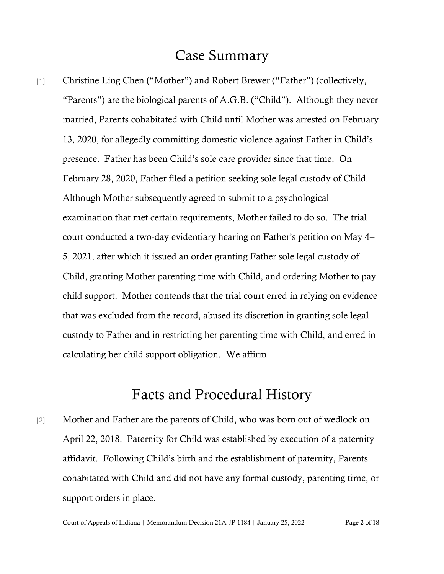# Case Summary

[1] Christine Ling Chen ("Mother") and Robert Brewer ("Father") (collectively, "Parents") are the biological parents of A.G.B. ("Child"). Although they never married, Parents cohabitated with Child until Mother was arrested on February 13, 2020, for allegedly committing domestic violence against Father in Child's presence. Father has been Child's sole care provider since that time. On February 28, 2020, Father filed a petition seeking sole legal custody of Child. Although Mother subsequently agreed to submit to a psychological examination that met certain requirements, Mother failed to do so. The trial court conducted a two-day evidentiary hearing on Father's petition on May 4– 5, 2021, after which it issued an order granting Father sole legal custody of Child, granting Mother parenting time with Child, and ordering Mother to pay child support. Mother contends that the trial court erred in relying on evidence that was excluded from the record, abused its discretion in granting sole legal custody to Father and in restricting her parenting time with Child, and erred in calculating her child support obligation. We affirm.

## Facts and Procedural History

[2] Mother and Father are the parents of Child, who was born out of wedlock on April 22, 2018. Paternity for Child was established by execution of a paternity affidavit. Following Child's birth and the establishment of paternity, Parents cohabitated with Child and did not have any formal custody, parenting time, or support orders in place.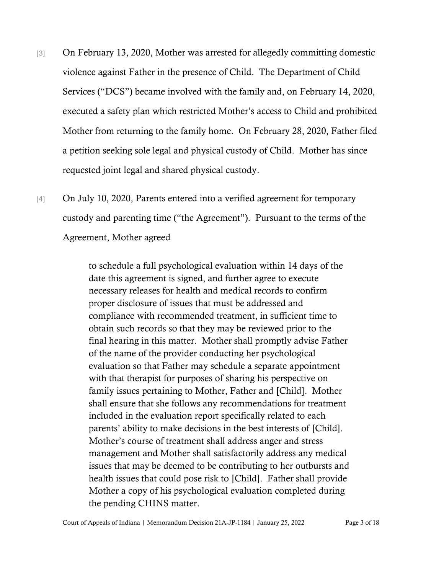- [3] On February 13, 2020, Mother was arrested for allegedly committing domestic violence against Father in the presence of Child. The Department of Child Services ("DCS") became involved with the family and, on February 14, 2020, executed a safety plan which restricted Mother's access to Child and prohibited Mother from returning to the family home. On February 28, 2020, Father filed a petition seeking sole legal and physical custody of Child. Mother has since requested joint legal and shared physical custody.
- [4] On July 10, 2020, Parents entered into a verified agreement for temporary custody and parenting time ("the Agreement"). Pursuant to the terms of the Agreement, Mother agreed

to schedule a full psychological evaluation within 14 days of the date this agreement is signed, and further agree to execute necessary releases for health and medical records to confirm proper disclosure of issues that must be addressed and compliance with recommended treatment, in sufficient time to obtain such records so that they may be reviewed prior to the final hearing in this matter. Mother shall promptly advise Father of the name of the provider conducting her psychological evaluation so that Father may schedule a separate appointment with that therapist for purposes of sharing his perspective on family issues pertaining to Mother, Father and [Child]. Mother shall ensure that she follows any recommendations for treatment included in the evaluation report specifically related to each parents' ability to make decisions in the best interests of [Child]. Mother's course of treatment shall address anger and stress management and Mother shall satisfactorily address any medical issues that may be deemed to be contributing to her outbursts and health issues that could pose risk to [Child]. Father shall provide Mother a copy of his psychological evaluation completed during the pending CHINS matter.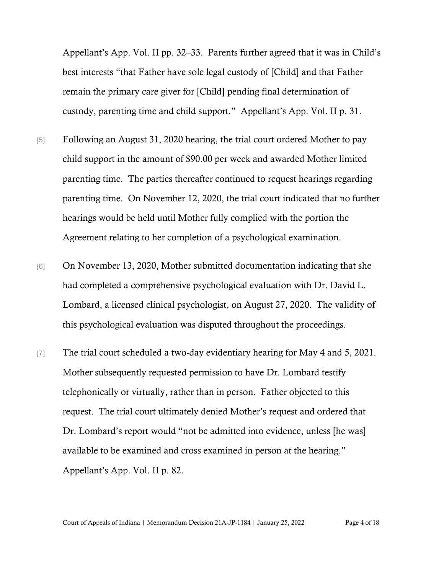Appellant's App. Vol. II pp. 32–33. Parents further agreed that it was in Child's best interests "that Father have sole legal custody of [Child] and that Father remain the primary care giver for [Child] pending final determination of custody, parenting time and child support." Appellant's App. Vol. II p. 31.

- [5] Following an August 31, 2020 hearing, the trial court ordered Mother to pay child support in the amount of \$90.00 per week and awarded Mother limited parenting time. The parties thereafter continued to request hearings regarding parenting time. On November 12, 2020, the trial court indicated that no further hearings would be held until Mother fully complied with the portion the Agreement relating to her completion of a psychological examination.
- [6] On November 13, 2020, Mother submitted documentation indicating that she had completed a comprehensive psychological evaluation with Dr. David L. Lombard, a licensed clinical psychologist, on August 27, 2020. The validity of this psychological evaluation was disputed throughout the proceedings.
- [7] The trial court scheduled a two-day evidentiary hearing for May 4 and 5, 2021. Mother subsequently requested permission to have Dr. Lombard testify telephonically or virtually, rather than in person. Father objected to this request. The trial court ultimately denied Mother's request and ordered that Dr. Lombard's report would "not be admitted into evidence, unless [he was] available to be examined and cross examined in person at the hearing." Appellant's App. Vol. II p. 82.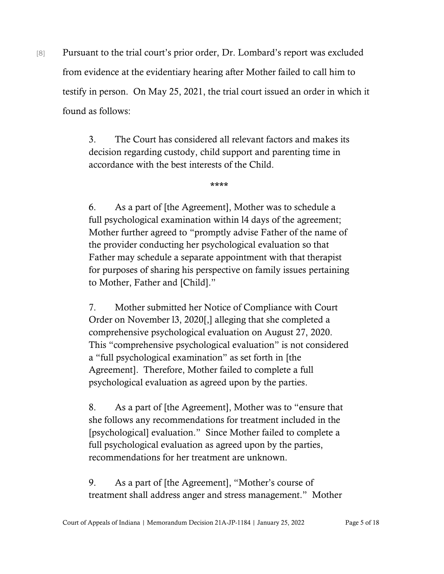[8] Pursuant to the trial court's prior order, Dr. Lombard's report was excluded from evidence at the evidentiary hearing after Mother failed to call him to testify in person. On May 25, 2021, the trial court issued an order in which it found as follows:

> 3. The Court has considered all relevant factors and makes its decision regarding custody, child support and parenting time in accordance with the best interests of the Child.

> > \*\*\*\*

6. As a part of [the Agreement], Mother was to schedule a full psychological examination within 14 days of the agreement; Mother further agreed to "promptly advise Father of the name of the provider conducting her psychological evaluation so that Father may schedule a separate appointment with that therapist for purposes of sharing his perspective on family issues pertaining to Mother, Father and [Child]."

7. Mother submitted her Notice of Compliance with Court Order on November l3, 2020[,] alleging that she completed a comprehensive psychological evaluation on August 27, 2020. This "comprehensive psychological evaluation" is not considered a "full psychological examination" as set forth in [the Agreement]. Therefore, Mother failed to complete a full psychological evaluation as agreed upon by the parties.

8. As a part of [the Agreement], Mother was to "ensure that she follows any recommendations for treatment included in the [psychological] evaluation." Since Mother failed to complete a full psychological evaluation as agreed upon by the parties, recommendations for her treatment are unknown.

9. As a part of [the Agreement], "Mother's course of treatment shall address anger and stress management." Mother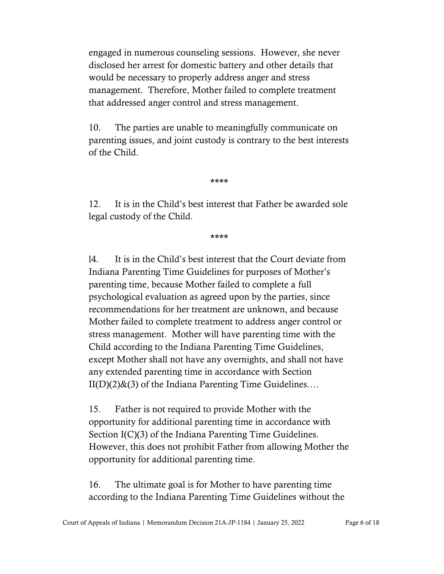engaged in numerous counseling sessions. However, she never disclosed her arrest for domestic battery and other details that would be necessary to properly address anger and stress management. Therefore, Mother failed to complete treatment that addressed anger control and stress management.

10. The parties are unable to meaningfully communicate on parenting issues, and joint custody is contrary to the best interests of the Child.

\*\*\*\*

12. It is in the Child's best interest that Father be awarded sole legal custody of the Child.

\*\*\*\*

l4. It is in the Child's best interest that the Court deviate from Indiana Parenting Time Guidelines for purposes of Mother's parenting time, because Mother failed to complete a full psychological evaluation as agreed upon by the parties, since recommendations for her treatment are unknown, and because Mother failed to complete treatment to address anger control or stress management. Mother will have parenting time with the Child according to the Indiana Parenting Time Guidelines, except Mother shall not have any overnights, and shall not have any extended parenting time in accordance with Section  $II(D)(2)$ &(3) of the Indiana Parenting Time Guidelines...

15. Father is not required to provide Mother with the opportunity for additional parenting time in accordance with Section I(C)(3) of the Indiana Parenting Time Guidelines. However, this does not prohibit Father from allowing Mother the opportunity for additional parenting time.

16. The ultimate goal is for Mother to have parenting time according to the Indiana Parenting Time Guidelines without the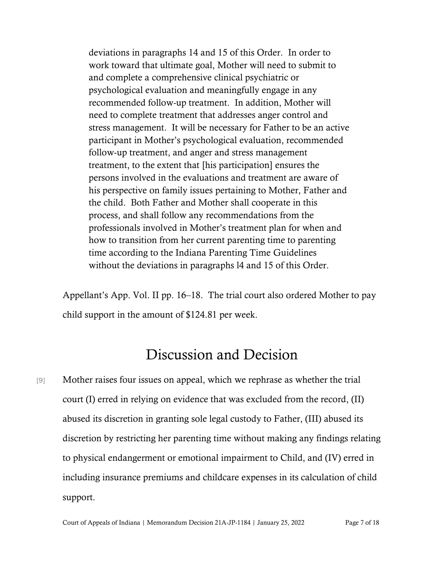deviations in paragraphs 14 and 15 of this Order. In order to work toward that ultimate goal, Mother will need to submit to and complete a comprehensive clinical psychiatric or psychological evaluation and meaningfully engage in any recommended follow-up treatment. In addition, Mother will need to complete treatment that addresses anger control and stress management. It will be necessary for Father to be an active participant in Mother's psychological evaluation, recommended follow-up treatment, and anger and stress management treatment, to the extent that [his participation] ensures the persons involved in the evaluations and treatment are aware of his perspective on family issues pertaining to Mother, Father and the child. Both Father and Mother shall cooperate in this process, and shall follow any recommendations from the professionals involved in Mother's treatment plan for when and how to transition from her current parenting time to parenting time according to the Indiana Parenting Time Guidelines without the deviations in paragraphs l4 and 15 of this Order.

Appellant's App. Vol. II pp. 16–18. The trial court also ordered Mother to pay child support in the amount of \$124.81 per week.

# Discussion and Decision

[9] Mother raises four issues on appeal, which we rephrase as whether the trial court (I) erred in relying on evidence that was excluded from the record, (II) abused its discretion in granting sole legal custody to Father, (III) abused its discretion by restricting her parenting time without making any findings relating to physical endangerment or emotional impairment to Child, and (IV) erred in including insurance premiums and childcare expenses in its calculation of child support.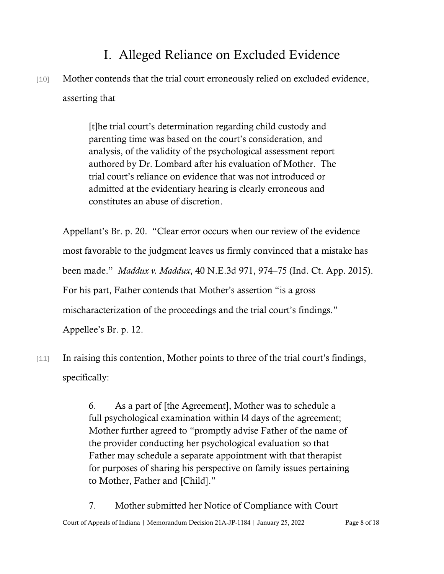# I. Alleged Reliance on Excluded Evidence

[10] Mother contends that the trial court erroneously relied on excluded evidence, asserting that

> [t]he trial court's determination regarding child custody and parenting time was based on the court's consideration, and analysis, of the validity of the psychological assessment report authored by Dr. Lombard after his evaluation of Mother. The trial court's reliance on evidence that was not introduced or admitted at the evidentiary hearing is clearly erroneous and constitutes an abuse of discretion.

Appellant's Br. p. 20. "Clear error occurs when our review of the evidence most favorable to the judgment leaves us firmly convinced that a mistake has been made." *Maddux v. Maddux*, 40 N.E.3d 971, 974–75 (Ind. Ct. App. 2015). For his part, Father contends that Mother's assertion "is a gross mischaracterization of the proceedings and the trial court's findings." Appellee's Br. p. 12.

[11] In raising this contention, Mother points to three of the trial court's findings, specifically:

> 6. As a part of [the Agreement], Mother was to schedule a full psychological examination within l4 days of the agreement; Mother further agreed to "promptly advise Father of the name of the provider conducting her psychological evaluation so that Father may schedule a separate appointment with that therapist for purposes of sharing his perspective on family issues pertaining to Mother, Father and [Child]."

7. Mother submitted her Notice of Compliance with Court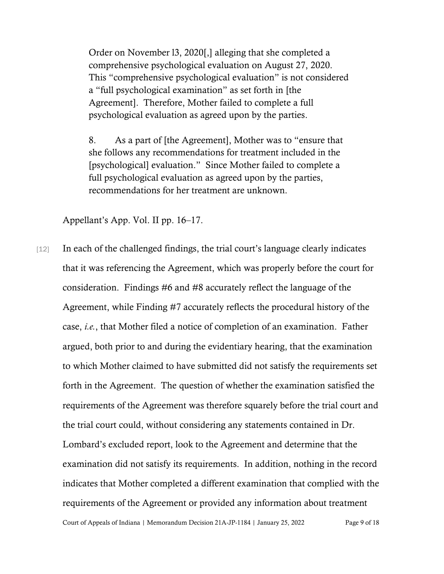Order on November l3, 2020[,] alleging that she completed a comprehensive psychological evaluation on August 27, 2020. This "comprehensive psychological evaluation" is not considered a "full psychological examination" as set forth in [the Agreement]. Therefore, Mother failed to complete a full psychological evaluation as agreed upon by the parties.

8. As a part of [the Agreement], Mother was to "ensure that she follows any recommendations for treatment included in the [psychological] evaluation." Since Mother failed to complete a full psychological evaluation as agreed upon by the parties, recommendations for her treatment are unknown.

Appellant's App. Vol. II pp. 16–17.

[12] In each of the challenged findings, the trial court's language clearly indicates that it was referencing the Agreement, which was properly before the court for consideration. Findings #6 and #8 accurately reflect the language of the Agreement, while Finding #7 accurately reflects the procedural history of the case, *i.e.*, that Mother filed a notice of completion of an examination. Father argued, both prior to and during the evidentiary hearing, that the examination to which Mother claimed to have submitted did not satisfy the requirements set forth in the Agreement. The question of whether the examination satisfied the requirements of the Agreement was therefore squarely before the trial court and the trial court could, without considering any statements contained in Dr. Lombard's excluded report, look to the Agreement and determine that the examination did not satisfy its requirements. In addition, nothing in the record indicates that Mother completed a different examination that complied with the requirements of the Agreement or provided any information about treatment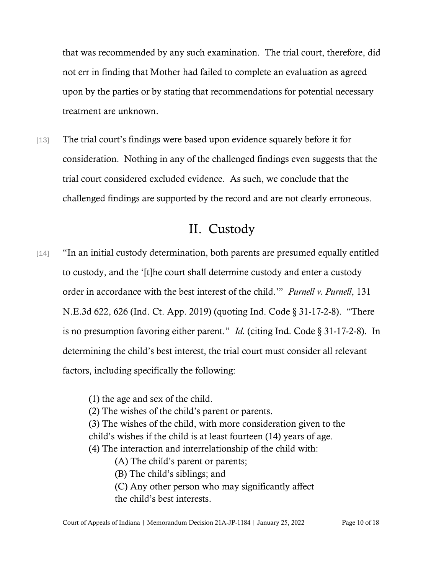that was recommended by any such examination. The trial court, therefore, did not err in finding that Mother had failed to complete an evaluation as agreed upon by the parties or by stating that recommendations for potential necessary treatment are unknown.

[13] The trial court's findings were based upon evidence squarely before it for consideration. Nothing in any of the challenged findings even suggests that the trial court considered excluded evidence. As such, we conclude that the challenged findings are supported by the record and are not clearly erroneous.

## II. Custody

- [14] "In an initial custody determination, both parents are presumed equally entitled to custody, and the '[t]he court shall determine custody and enter a custody order in accordance with the best interest of the child.'" *Purnell v. Purnell*, 131 N.E.3d 622, 626 (Ind. Ct. App. 2019) (quoting Ind. Code § 31-17-2-8). "There is no presumption favoring either parent." *Id.* (citing Ind. Code § 31-17-2-8). In determining the child's best interest, the trial court must consider all relevant factors, including specifically the following:
	- (1) the age and sex of the child.
	- (2) The wishes of the child's parent or parents.
	- (3) The wishes of the child, with more consideration given to the child's wishes if the child is at least fourteen (14) years of age.
	- (4) The interaction and interrelationship of the child with:
		- (A) The child's parent or parents;
		- (B) The child's siblings; and
		- (C) Any other person who may significantly affect the child's best interests.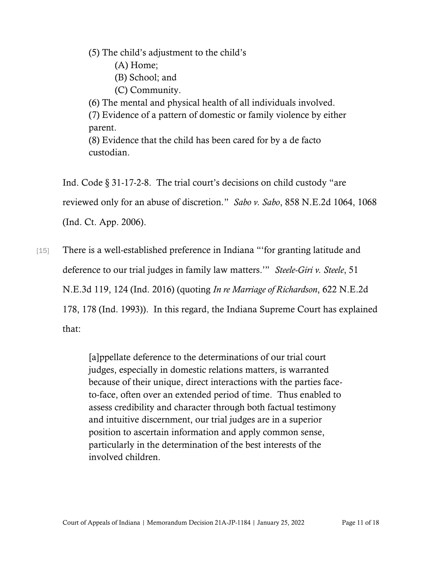(5) The child's adjustment to the child's

- (A) Home;
- (B) School; and
- (C) Community.

(6) The mental and physical health of all individuals involved.

(7) Evidence of a pattern of domestic or family violence by either parent.

(8) Evidence that the child has been cared for by a de facto custodian.

Ind. Code § 31-17-2-8. The trial court's decisions on child custody "are reviewed only for an abuse of discretion." *Sabo v. Sabo*, 858 N.E.2d 1064, 1068 (Ind. Ct. App. 2006).

[15] There is a well-established preference in Indiana "'for granting latitude and deference to our trial judges in family law matters.'" *Steele-Giri v. Steele*, 51 N.E.3d 119, 124 (Ind. 2016) (quoting *In re Marriage of Richardson*, 622 N.E.2d 178, 178 (Ind. 1993)). In this regard, the Indiana Supreme Court has explained that:

> [a]ppellate deference to the determinations of our trial court judges, especially in domestic relations matters, is warranted because of their unique, direct interactions with the parties faceto-face, often over an extended period of time. Thus enabled to assess credibility and character through both factual testimony and intuitive discernment, our trial judges are in a superior position to ascertain information and apply common sense, particularly in the determination of the best interests of the involved children.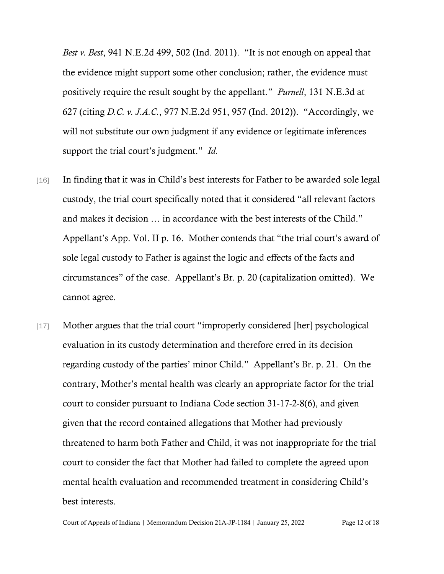*Best v. Best*, 941 N.E.2d 499, 502 (Ind. 2011). "It is not enough on appeal that the evidence might support some other conclusion; rather, the evidence must positively require the result sought by the appellant." *Purnell*, 131 N.E.3d at 627 (citing *D.C. v. J.A.C.*, 977 N.E.2d 951, 957 (Ind. 2012)). "Accordingly, we will not substitute our own judgment if any evidence or legitimate inferences support the trial court's judgment." *Id.*

- [16] In finding that it was in Child's best interests for Father to be awarded sole legal custody, the trial court specifically noted that it considered "all relevant factors and makes it decision … in accordance with the best interests of the Child." Appellant's App. Vol. II p. 16. Mother contends that "the trial court's award of sole legal custody to Father is against the logic and effects of the facts and circumstances" of the case. Appellant's Br. p. 20 (capitalization omitted). We cannot agree.
- [17] Mother argues that the trial court "improperly considered [her] psychological evaluation in its custody determination and therefore erred in its decision regarding custody of the parties' minor Child." Appellant's Br. p. 21. On the contrary, Mother's mental health was clearly an appropriate factor for the trial court to consider pursuant to Indiana Code section 31-17-2-8(6), and given given that the record contained allegations that Mother had previously threatened to harm both Father and Child, it was not inappropriate for the trial court to consider the fact that Mother had failed to complete the agreed upon mental health evaluation and recommended treatment in considering Child's best interests.

Court of Appeals of Indiana | Memorandum Decision 21A-JP-1184 | January 25, 2022 Page 12 of 18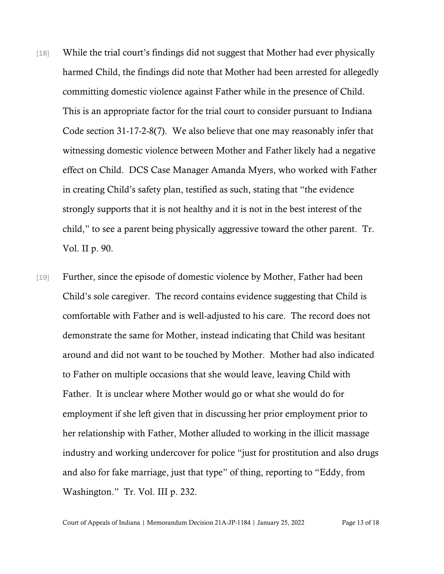- [18] While the trial court's findings did not suggest that Mother had ever physically harmed Child, the findings did note that Mother had been arrested for allegedly committing domestic violence against Father while in the presence of Child. This is an appropriate factor for the trial court to consider pursuant to Indiana Code section 31-17-2-8(7). We also believe that one may reasonably infer that witnessing domestic violence between Mother and Father likely had a negative effect on Child. DCS Case Manager Amanda Myers, who worked with Father in creating Child's safety plan, testified as such, stating that "the evidence strongly supports that it is not healthy and it is not in the best interest of the child," to see a parent being physically aggressive toward the other parent. Tr. Vol. II p. 90.
- [19] Further, since the episode of domestic violence by Mother, Father had been Child's sole caregiver. The record contains evidence suggesting that Child is comfortable with Father and is well-adjusted to his care. The record does not demonstrate the same for Mother, instead indicating that Child was hesitant around and did not want to be touched by Mother. Mother had also indicated to Father on multiple occasions that she would leave, leaving Child with Father. It is unclear where Mother would go or what she would do for employment if she left given that in discussing her prior employment prior to her relationship with Father, Mother alluded to working in the illicit massage industry and working undercover for police "just for prostitution and also drugs and also for fake marriage, just that type" of thing, reporting to "Eddy, from Washington." Tr. Vol. III p. 232.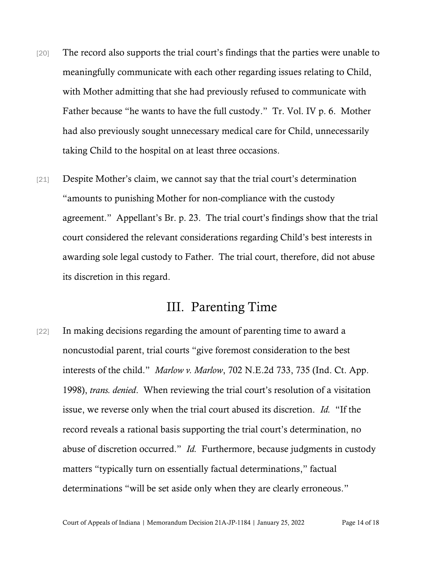- [20] The record also supports the trial court's findings that the parties were unable to meaningfully communicate with each other regarding issues relating to Child, with Mother admitting that she had previously refused to communicate with Father because "he wants to have the full custody." Tr. Vol. IV p. 6. Mother had also previously sought unnecessary medical care for Child, unnecessarily taking Child to the hospital on at least three occasions.
- [21] Despite Mother's claim, we cannot say that the trial court's determination "amounts to punishing Mother for non-compliance with the custody agreement." Appellant's Br. p. 23. The trial court's findings show that the trial court considered the relevant considerations regarding Child's best interests in awarding sole legal custody to Father. The trial court, therefore, did not abuse its discretion in this regard.

#### III. Parenting Time

[22] In making decisions regarding the amount of parenting time to award a noncustodial parent, trial courts "give foremost consideration to the best interests of the child." *Marlow v. Marlow*, 702 N.E.2d 733, 735 (Ind. Ct. App. 1998), *trans. denied*. When reviewing the trial court's resolution of a visitation issue, we reverse only when the trial court abused its discretion. *Id.* "If the record reveals a rational basis supporting the trial court's determination, no abuse of discretion occurred." *Id.* Furthermore, because judgments in custody matters "typically turn on essentially factual determinations," factual determinations "will be set aside only when they are clearly erroneous."

Court of Appeals of Indiana | Memorandum Decision 21A-JP-1184 | January 25, 2022 Page 14 of 18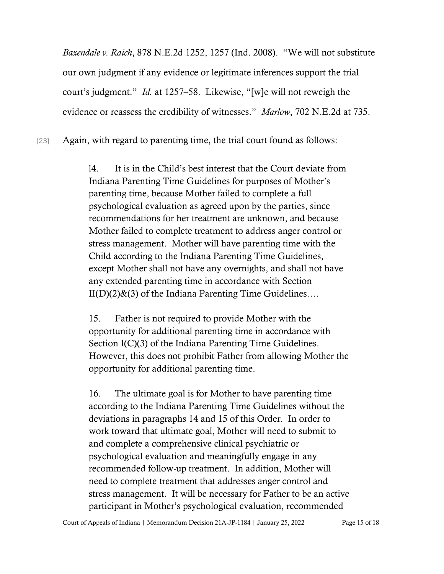*Baxendale v. Raich*, 878 N.E.2d 1252, 1257 (Ind. 2008). "We will not substitute our own judgment if any evidence or legitimate inferences support the trial court's judgment." *Id.* at 1257–58. Likewise, "[w]e will not reweigh the evidence or reassess the credibility of witnesses." *Marlow*, 702 N.E.2d at 735.

[23] Again, with regard to parenting time, the trial court found as follows:

l4. It is in the Child's best interest that the Court deviate from Indiana Parenting Time Guidelines for purposes of Mother's parenting time, because Mother failed to complete a full psychological evaluation as agreed upon by the parties, since recommendations for her treatment are unknown, and because Mother failed to complete treatment to address anger control or stress management. Mother will have parenting time with the Child according to the Indiana Parenting Time Guidelines, except Mother shall not have any overnights, and shall not have any extended parenting time in accordance with Section  $II(D)(2)$ &(3) of the Indiana Parenting Time Guidelines....

15. Father is not required to provide Mother with the opportunity for additional parenting time in accordance with Section I(C)(3) of the Indiana Parenting Time Guidelines. However, this does not prohibit Father from allowing Mother the opportunity for additional parenting time.

16. The ultimate goal is for Mother to have parenting time according to the Indiana Parenting Time Guidelines without the deviations in paragraphs 14 and 15 of this Order. In order to work toward that ultimate goal, Mother will need to submit to and complete a comprehensive clinical psychiatric or psychological evaluation and meaningfully engage in any recommended follow-up treatment. In addition, Mother will need to complete treatment that addresses anger control and stress management. It will be necessary for Father to be an active participant in Mother's psychological evaluation, recommended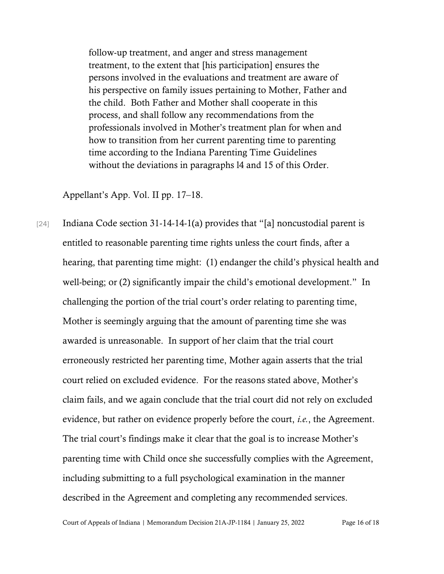follow-up treatment, and anger and stress management treatment, to the extent that [his participation] ensures the persons involved in the evaluations and treatment are aware of his perspective on family issues pertaining to Mother, Father and the child. Both Father and Mother shall cooperate in this process, and shall follow any recommendations from the professionals involved in Mother's treatment plan for when and how to transition from her current parenting time to parenting time according to the Indiana Parenting Time Guidelines without the deviations in paragraphs l4 and 15 of this Order.

#### Appellant's App. Vol. II pp. 17–18.

[24] Indiana Code section 31-14-14-1(a) provides that "[a] noncustodial parent is entitled to reasonable parenting time rights unless the court finds, after a hearing, that parenting time might: (1) endanger the child's physical health and well-being; or (2) significantly impair the child's emotional development." In challenging the portion of the trial court's order relating to parenting time, Mother is seemingly arguing that the amount of parenting time she was awarded is unreasonable. In support of her claim that the trial court erroneously restricted her parenting time, Mother again asserts that the trial court relied on excluded evidence. For the reasons stated above, Mother's claim fails, and we again conclude that the trial court did not rely on excluded evidence, but rather on evidence properly before the court, *i.e.*, the Agreement. The trial court's findings make it clear that the goal is to increase Mother's parenting time with Child once she successfully complies with the Agreement, including submitting to a full psychological examination in the manner described in the Agreement and completing any recommended services.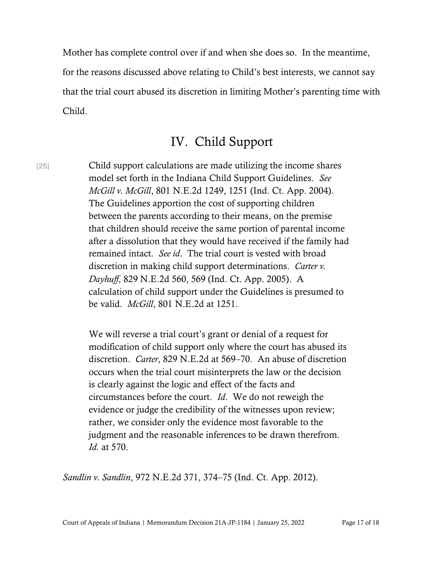Mother has complete control over if and when she does so. In the meantime, for the reasons discussed above relating to Child's best interests, we cannot say that the trial court abused its discretion in limiting Mother's parenting time with Child.

#### IV. Child Support

[25] Child support calculations are made utilizing the income shares model set forth in the Indiana Child Support Guidelines. *See McGill v. McGill*, 801 N.E.2d 1249, 1251 (Ind. Ct. App. 2004). The Guidelines apportion the cost of supporting children between the parents according to their means, on the premise that children should receive the same portion of parental income after a dissolution that they would have received if the family had remained intact. *See id*. The trial court is vested with broad discretion in making child support determinations. *Carter v. Dayhuff*, 829 N.E.2d 560, 569 (Ind. Ct. App. 2005). A calculation of child support under the Guidelines is presumed to be valid. *McGill*, 801 N.E.2d at 1251.

> We will reverse a trial court's grant or denial of a request for modification of child support only where the court has abused its discretion. *Carter*, 829 N.E.2d at 569–70. An abuse of discretion occurs when the trial court misinterprets the law or the decision is clearly against the logic and effect of the facts and circumstances before the court. *Id*. We do not reweigh the evidence or judge the credibility of the witnesses upon review; rather, we consider only the evidence most favorable to the judgment and the reasonable inferences to be drawn therefrom. *Id.* at 570.

*Sandlin v. Sandlin*, 972 N.E.2d 371, 374–75 (Ind. Ct. App. 2012).

Court of Appeals of Indiana | Memorandum Decision 21A-JP-1184 | January 25, 2022 Page 17 of 18